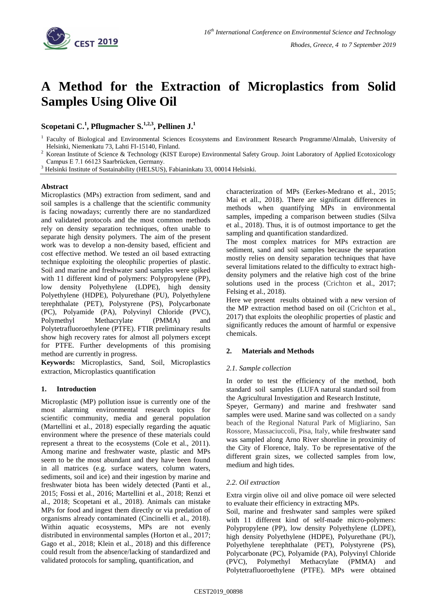

# **A Method for the Extraction of Microplastics from Solid Samples Using Olive Oil**

# **Scopetani C. 1 , Pflugmacher S. 1,2,3 , Pellinen J. 1**

<sup>3</sup> Helsinki Institute of Sustainability (HELSUS), Fabianinkatu 33, 00014 Helsinki.

## **Abstract**

Microplastics (MPs) extraction from sediment, sand and soil samples is a challenge that the scientific community is facing nowadays; currently there are no standardized and validated protocols and the most common methods rely on density separation techniques, often unable to separate high density polymers. The aim of the present work was to develop a non-density based, efficient and cost effective method. We tested an oil based extracting technique exploiting the oleophilic properties of plastic. Soil and marine and freshwater sand samples were spiked with 11 different kind of polymers: Polypropylene (PP), low density Polyethylene (LDPE), high density Polyethylene (HDPE), Polyurethane (PU), Polyethylene terephthalate (PET), Polystyrene (PS), Polycarbonate (PC), Polyamide (PA), Polyvinyl Chloride (PVC), Polymethyl Methacrylate (PMMA) and Polytetrafluoroethylene (PTFE). FTIR preliminary results show high recovery rates for almost all polymers except for PTFE. Further developments of this promising method are currently in progress.

**Keywords:** Microplastics, Sand, Soil, Microplastics extraction, Microplastics quantification

### **1. Introduction**

Microplastic (MP) pollution issue is currently one of the most alarming environmental research topics for scientific community, media and general population (Martellini et al., 2018) especially regarding the aquatic environment where the presence of these materials could represent a threat to the ecosystems (Cole et al., 2011). Among marine and freshwater waste, plastic and MPs seem to be the most abundant and they have been found in all matrices (e.g. surface waters, column waters, sediments, soil and ice) and their ingestion by marine and freshwater biota has been widely detected (Panti et al., 2015; Fossi et al., 2016; Martellini et al., 2018; Renzi et al., 2018; Scopetani et al., 2018). Animals can mistake MPs for food and ingest them directly or via predation of organisms already contaminated (Cincinelli et al., 2018). Within aquatic ecosystems, MPs are not evenly distributed in environmental samples (Horton et al., 2017; Gago et al., 2018; Klein et al., 2018) and this difference could result from the absence/lacking of standardized and validated protocols for sampling, quantification, and

characterization of MPs (Eerkes-Medrano et al., 2015; Mai et all., 2018). There are significant differences in methods when quantifying MPs in environmental samples, impeding a comparison between studies (Silva et al., 2018). Thus, it is of outmost importance to get the sampling and quantification standardized.

The most complex matrices for MPs extraction are sediment, sand and soil samples because the separation mostly relies on density separation techniques that have several limitations related to the difficulty to extract highdensity polymers and the relative high cost of the brine solutions used in the process (Crichton et al., 2017; Felsing et al., 2018).

Here we present results obtained with a new version of the MP extraction method based on oil (Crichton et al., 2017) that exploits the oleophilic properties of plastic and significantly reduces the amount of harmful or expensive chemicals.

### **2. Materials and Methods**

### *2.1. Sample collection*

In order to test the efficiency of the method, both standard soil samples (LUFA natural standard soil from the Agricultural Investigation and Research Institute,

Speyer, Germany) and marine and freshwater sand samples were used. Marine sand was collected on a sandy beach of the Regional Natural Park of Migliarino, San Rossore, Massaciuccoli, Pisa, Italy, while freshwater sand was sampled along Arno River shoreline in proximity of the City of Florence, Italy. To be representative of the different grain sizes, we collected samples from low, medium and high tides.

### *2.2. Oil extraction*

Extra virgin olive oil and olive pomace oil were selected to evaluate their efficiency in extracting MPs.

Soil, marine and freshwater sand samples were spiked with 11 different kind of self-made micro-polymers: Polypropylene (PP), low density Polyethylene (LDPE), high density Polyethylene (HDPE), Polyurethane (PU), Polyethylene terephthalate (PET), Polystyrene (PS), Polycarbonate (PC), Polyamide (PA), Polyvinyl Chloride (PVC), Polymethyl Methacrylate (PMMA) and Polytetrafluoroethylene (PTFE). MPs were obtained

<sup>&</sup>lt;sup>1</sup> Faculty of Biological and Environmental Sciences Ecosystems and Environment Research Programme/Almalab, University of Helsinki, Niemenkatu 73, Lahti FI-15140, Finland.

<sup>&</sup>lt;sup>2</sup> Korean Institute of Science & Technology (KIST Europe) Environmental Safety Group. Joint Laboratory of Applied Ecotoxicology Campus E 7.1 66123 Saarbrücken, Germany.